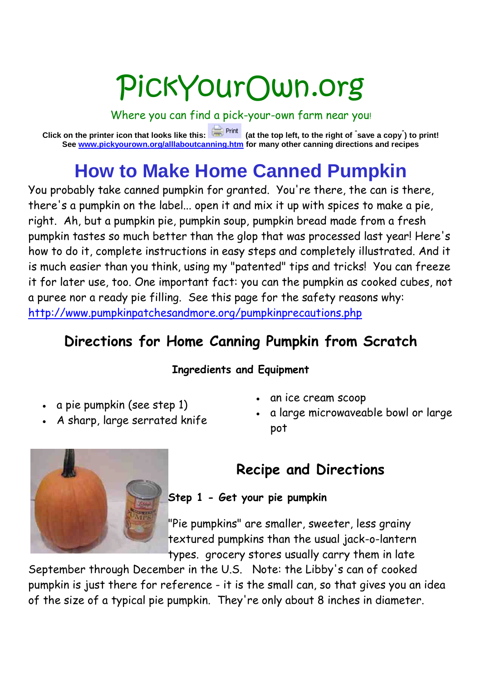# PickYourOwn.org

Where you can find a pick-your-own farm near you!

**Click on the printer icon that looks like this: (at the top left, to the right of " save a copy" ) to print! See www.pickyourown.org/alllaboutcanning.htm for many other canning directions and recipes**

## **How to Make Home Canned Pumpkin**

You probably take canned pumpkin for granted. You're there, the can is there, there's a pumpkin on the label... open it and mix it up with spices to make a pie, right. Ah, but a pumpkin pie, pumpkin soup, pumpkin bread made from a fresh pumpkin tastes so much better than the glop that was processed last year! Here's how to do it, complete instructions in easy steps and completely illustrated. And it is much easier than you think, using my "patented" tips and tricks! You can freeze it for later use, too. One important fact: you can the pumpkin as cooked cubes, not a puree nor a ready pie filling. See this page for the safety reasons why: http://www.pumpkinpatchesandmore.org/pumpkinprecautions.php

### **Directions for Home Canning Pumpkin from Scratch**

#### **Ingredients and Equipment**

- a pie pumpkin (see step 1)
- A sharp, large serrated knife
- an ice cream scoop
- a large microwaveable bowl or large pot

### **Recipe and Directions**

**Step 1 - Get your pie pumpkin**

"Pie pumpkins" are smaller, sweeter, less grainy textured pumpkins than the usual jack-o-lantern types. grocery stores usually carry them in late

September through December in the U.S. Note: the Libby's can of cooked pumpkin is just there for reference - it is the small can, so that gives you an idea of the size of a typical pie pumpkin. They're only about 8 inches in diameter.

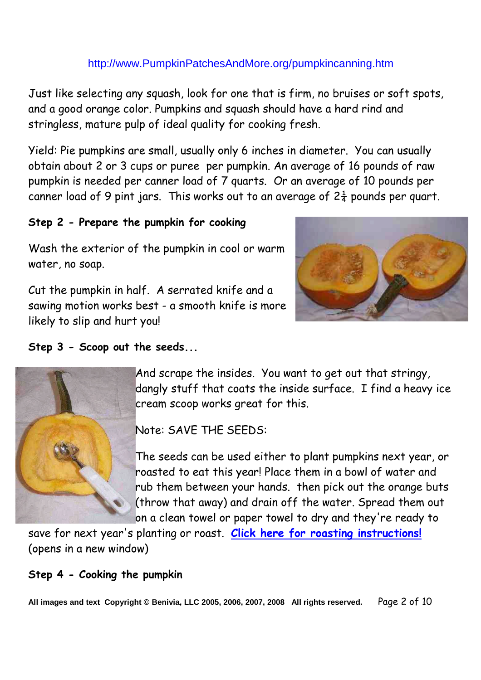Just like selecting any squash, look for one that is firm, no bruises or soft spots, and a good orange color. Pumpkins and squash should have a hard rind and stringless, mature pulp of ideal quality for cooking fresh.

Yield: Pie pumpkins are small, usually only 6 inches in diameter. You can usually obtain about 2 or 3 cups or puree per pumpkin. An average of 16 pounds of raw pumpkin is needed per canner load of 7 quarts. Or an average of 10 pounds per canner load of 9 pint jars. This works out to an average of  $2\frac{1}{4}$  pounds per quart.

#### **Step 2 - Prepare the pumpkin for cooking**

Wash the exterior of the pumpkin in cool or warm water, no soap.

Cut the pumpkin in half. A serrated knife and a sawing motion works best - a smooth knife is more likely to slip and hurt you!



#### **Step 3 - Scoop out the seeds...**



And scrape the insides. You want to get out that stringy, dangly stuff that coats the inside surface. I find a heavy ice cream scoop works great for this.

Note: SAVE THE SEEDS:

The seeds can be used either to plant pumpkins next year, or roasted to eat this year! Place them in a bowl of water and rub them between your hands. then pick out the orange buts (throw that away) and drain off the water. Spread them out on a clean towel or paper towel to dry and they're ready to

save for next year's planting or roast. **Click here for roasting instructions!** (opens in a new window)

#### **Step 4 - Cooking the pumpkin**

**All images and text Copyright © Benivia, LLC 2005, 2006, 2007, 2008 All rights reserved.** Page 2 of 10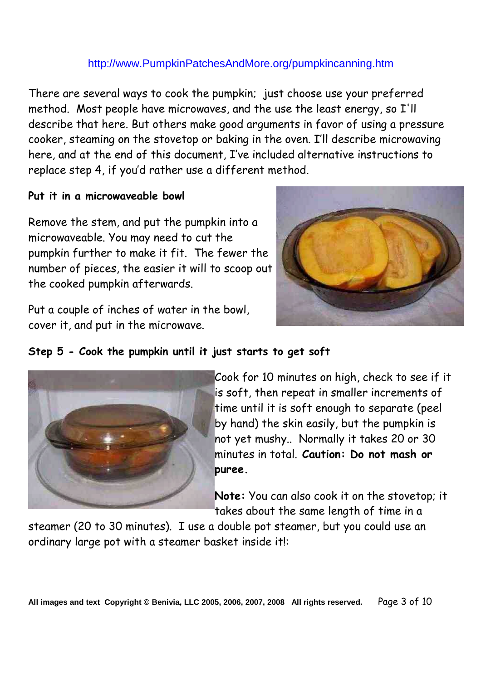There are several ways to cook the pumpkin; just choose use your preferred method. Most people have microwaves, and the use the least energy, so I'll describe that here. But others make good arguments in favor of using a pressure cooker, steaming on the stovetop or baking in the oven. I'll describe microwaving here, and at the end of this document, I've included alternative instructions to replace step 4, if you'd rather use a different method.

#### **Put it in a microwaveable bowl**

Remove the stem, and put the pumpkin into a microwaveable. You may need to cut the pumpkin further to make it fit. The fewer the number of pieces, the easier it will to scoop out the cooked pumpkin afterwards.

Put a couple of inches of water in the bowl, cover it, and put in the microwave.



#### **Step 5 - Cook the pumpkin until it just starts to get soft**



Cook for 10 minutes on high, check to see if it is soft, then repeat in smaller increments of time until it is soft enough to separate (peel by hand) the skin easily, but the pumpkin is not yet mushy.. Normally it takes 20 or 30 minutes in total. **Caution: Do not mash or puree.**

**Note:** You can also cook it on the stovetop; it takes about the same length of time in a

steamer (20 to 30 minutes). I use a double pot steamer, but you could use an ordinary large pot with a steamer basket inside it!: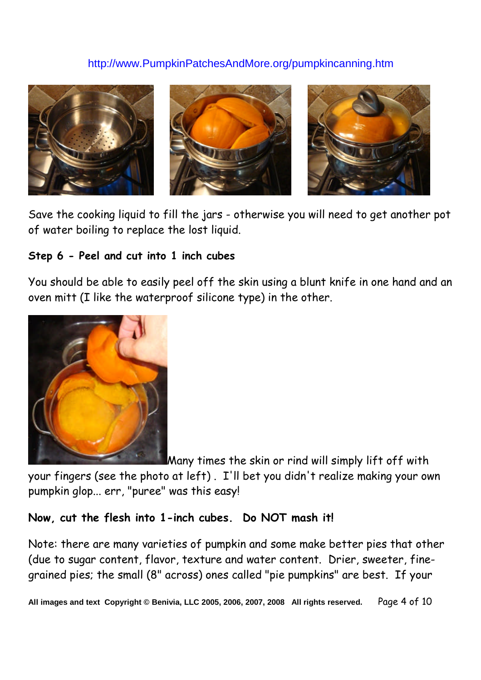

Save the cooking liquid to fill the jars - otherwise you will need to get another pot of water boiling to replace the lost liquid.

#### **Step 6 - Peel and cut into 1 inch cubes**

You should be able to easily peel off the skin using a blunt knife in one hand and an oven mitt (I like the waterproof silicone type) in the other.



Many times the skin or rind will simply lift off with

your fingers (see the photo at left) . I'll bet you didn't realize making your own pumpkin glop... err, "puree" was this easy!

#### **Now, cut the flesh into 1-inch cubes. Do NOT mash it!**

Note: there are many varieties of pumpkin and some make better pies that other (due to sugar content, flavor, texture and water content. Drier, sweeter, finegrained pies; the small (8" across) ones called "pie pumpkins" are best. If your

**All images and text Copyright © Benivia, LLC 2005, 2006, 2007, 2008 All rights reserved.** Page 4 of 10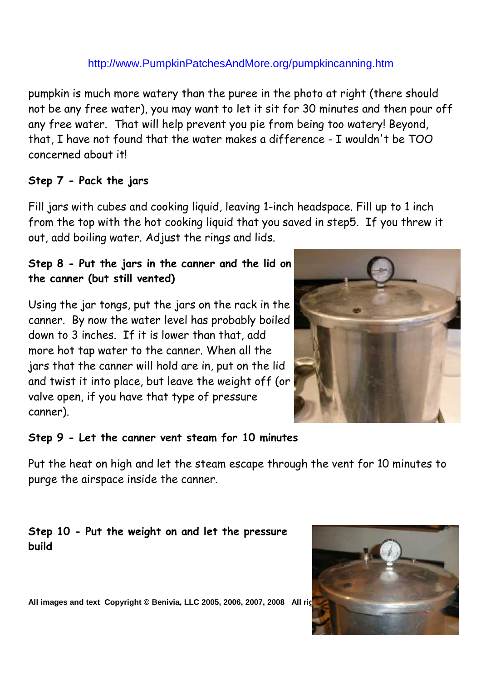pumpkin is much more watery than the puree in the photo at right (there should not be any free water), you may want to let it sit for 30 minutes and then pour off any free water. That will help prevent you pie from being too watery! Beyond, that, I have not found that the water makes a difference - I wouldn't be TOO concerned about it!

#### **Step 7 - Pack the jars**

Fill jars with cubes and cooking liquid, leaving 1-inch headspace. Fill up to 1 inch from the top with the hot cooking liquid that you saved in step5. If you threw it out, add boiling water. Adjust the rings and lids.

#### **Step 8 - Put the jars in the canner and the lid on the canner (but still vented)**

Using the jar tongs, put the jars on the rack in the canner. By now the water level has probably boiled down to 3 inches. If it is lower than that, add more hot tap water to the canner. When all the jars that the canner will hold are in, put on the lid and twist it into place, but leave the weight off (or valve open, if you have that type of pressure canner).



#### **Step 9 - Let the canner vent steam for 10 minutes**

Put the heat on high and let the steam escape through the vent for 10 minutes to purge the airspace inside the canner.

#### **Step 10 - Put the weight on and let the pressure build**



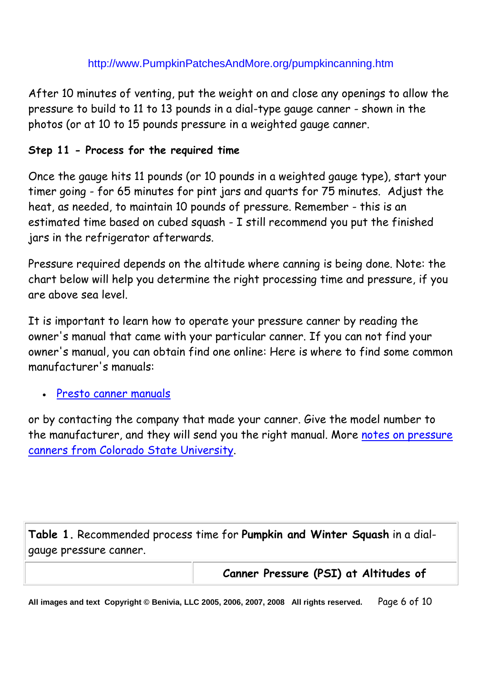After 10 minutes of venting, put the weight on and close any openings to allow the pressure to build to 11 to 13 pounds in a dial-type gauge canner - shown in the photos (or at 10 to 15 pounds pressure in a weighted gauge canner.

#### **Step 11 - Process for the required time**

Once the gauge hits 11 pounds (or 10 pounds in a weighted gauge type), start your timer going - for 65 minutes for pint jars and quarts for 75 minutes. Adjust the heat, as needed, to maintain 10 pounds of pressure. Remember - this is an estimated time based on cubed squash - I still recommend you put the finished jars in the refrigerator afterwards.

Pressure required depends on the altitude where canning is being done. Note: the chart below will help you determine the right processing time and pressure, if you are above sea level.

It is important to learn how to operate your pressure canner by reading the owner's manual that came with your particular canner. If you can not find your owner's manual, you can obtain find one online: Here is where to find some common manufacturer's manuals:

Presto canner manuals

or by contacting the company that made your canner. Give the model number to the manufacturer, and they will send you the right manual. More notes on pressure canners from Colorado State University.

**Table 1.** Recommended process time for **Pumpkin and Winter Squash** in a dialgauge pressure canner.

**Canner Pressure (PSI) at Altitudes of**

**All images and text Copyright © Benivia, LLC 2005, 2006, 2007, 2008 All rights reserved.** Page 6 of 10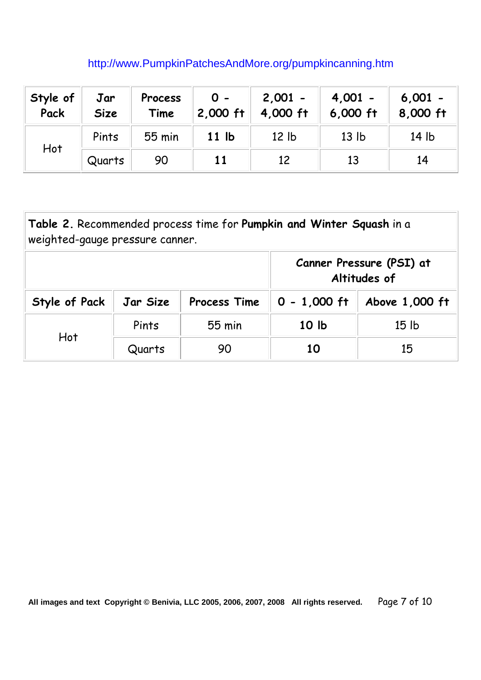| Style of<br>Pack | Jar<br><b>Size</b> | Process<br>Time | $0 -$<br>2,000 ft | $2,001 -$<br>4,000 ft | $4,001 -$<br>$6,000$ ft | $6,001 -$<br>8,000 ft |
|------------------|--------------------|-----------------|-------------------|-----------------------|-------------------------|-----------------------|
| Hot              | Pints              | 55 min          | 11 <sub>1</sub>   | 12 <sub>1b</sub>      | 13 <sub>lb</sub>        | 14 lb                 |
|                  | Quarts             | 90              | 11                | 12                    | 13                      | 14                    |

| Table 2. Recommended process time for Pumpkin and Winter Squash in a<br>weighted-gauge pressure canner. |          |                                          |                 |                  |  |  |  |  |
|---------------------------------------------------------------------------------------------------------|----------|------------------------------------------|-----------------|------------------|--|--|--|--|
|                                                                                                         |          | Canner Pressure (PSI) at<br>Altitudes of |                 |                  |  |  |  |  |
| Style of Pack                                                                                           | Jar Size | Process Time                             | $0 - 1,000$ ft  | Above 1,000 ft   |  |  |  |  |
| Hot                                                                                                     | Pints    | 55 min                                   | 10 <sub>h</sub> | 15 <sub>1b</sub> |  |  |  |  |
|                                                                                                         | Quarts   | 90                                       | 10              | 15               |  |  |  |  |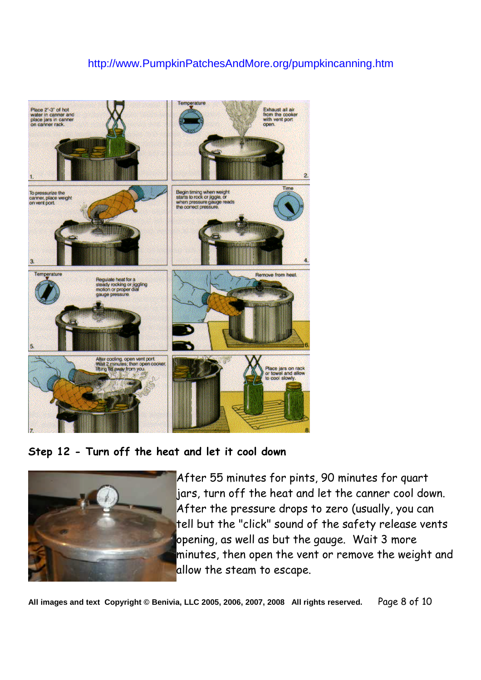

**Step 12 - Turn off the heat and let it cool down**



After 55 minutes for pints, 90 minutes for quart jars, turn off the heat and let the canner cool down. After the pressure drops to zero (usually, you can tell but the "click" sound of the safety release vents opening, as well as but the gauge. Wait 3 more minutes, then open the vent or remove the weight and allow the steam to escape.

**All images and text Copyright © Benivia, LLC 2005, 2006, 2007, 2008 All rights reserved.** Page 8 of 10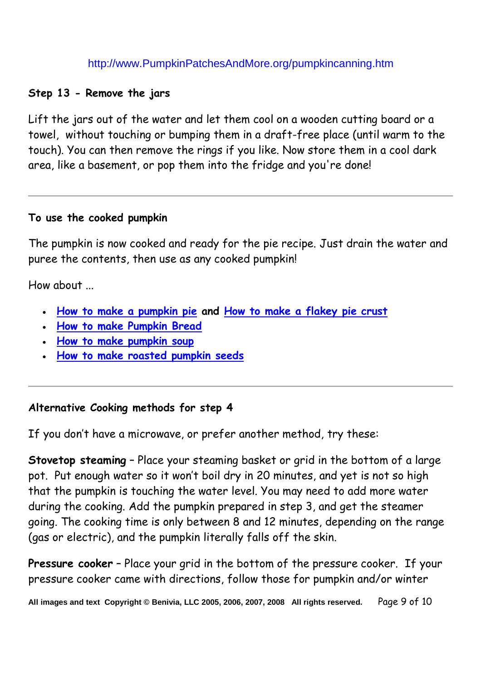#### **Step 13 - Remove the jars**

Lift the jars out of the water and let them cool on a wooden cutting board or a towel, without touching or bumping them in a draft-free place (until warm to the touch). You can then remove the rings if you like. Now store them in a cool dark area, like a basement, or pop them into the fridge and you're done!

#### **To use the cooked pumpkin**

The pumpkin is now cooked and ready for the pie recipe. Just drain the water and puree the contents, then use as any cooked pumpkin!

How about ...

- **How to make a pumpkin pie and How to make a flakey pie crust**
- **How to make Pumpkin Bread**
- **How to make pumpkin soup**
- **How to make roasted pumpkin seeds**

#### **Alternative Cooking methods for step 4**

If you don't have a microwave, or prefer another method, try these:

**Stovetop steaming** – Place your steaming basket or grid in the bottom of a large pot. Put enough water so it won't boil dry in 20 minutes, and yet is not so high that the pumpkin is touching the water level. You may need to add more water during the cooking. Add the pumpkin prepared in step 3, and get the steamer going. The cooking time is only between 8 and 12 minutes, depending on the range (gas or electric), and the pumpkin literally falls off the skin.

**Pressure cooker** – Place your grid in the bottom of the pressure cooker. If your pressure cooker came with directions, follow those for pumpkin and/or winter

**All images and text Copyright © Benivia, LLC 2005, 2006, 2007, 2008 All rights reserved.** Page 9 of 10